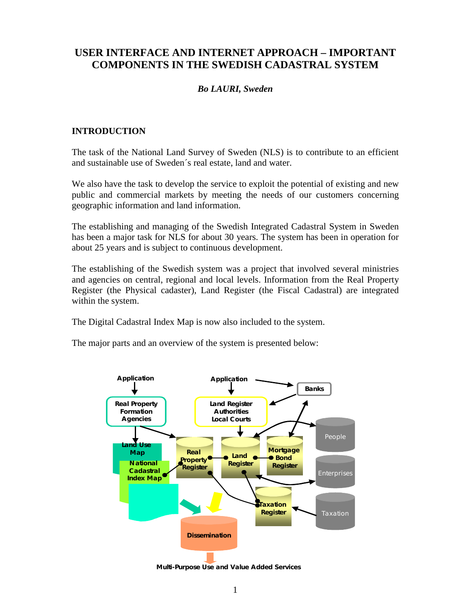# **USER INTERFACE AND INTERNET APPROACH – IMPORTANT COMPONENTS IN THE SWEDISH CADASTRAL SYSTEM**

## *Bo LAURI, Sweden*

## **INTRODUCTION**

The task of the National Land Survey of Sweden (NLS) is to contribute to an efficient and sustainable use of Sweden´s real estate, land and water.

We also have the task to develop the service to exploit the potential of existing and new public and commercial markets by meeting the needs of our customers concerning geographic information and land information.

The establishing and managing of the Swedish Integrated Cadastral System in Sweden has been a major task for NLS for about 30 years. The system has been in operation for about 25 years and is subject to continuous development.

The establishing of the Swedish system was a project that involved several ministries and agencies on central, regional and local levels. Information from the Real Property Register (the Physical cadaster), Land Register (the Fiscal Cadastral) are integrated within the system.

The Digital Cadastral Index Map is now also included to the system.

The major parts and an overview of the system is presented below:



**Multi-Purpose U se and Value Added Services**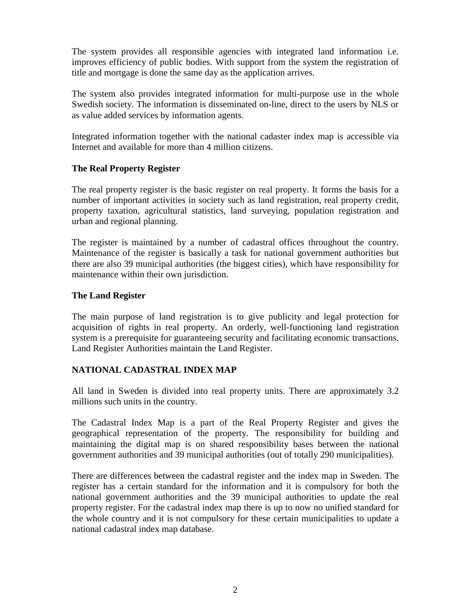The system provides all responsible agencies with integrated land information i.e. improves efficiency of public bodies. With support from the system the registration of title and mortgage is done the same day as the application arrives.

The system also provides integrated information for multi-purpose use in the whole Swedish society. The information is disseminated on-line, direct to the users by NLS or as value added services by information agents.

Integrated information together with the national cadaster index map is accessible via Internet and available for more than 4 million citizens.

## **The Real Property Register**

The real property register is the basic register on real property. It forms the basis for a number of important activities in society such as land registration, real property credit, property taxation, agricultural statistics, land surveying, population registration and urban and regional planning.

The register is maintained by a number of cadastral offices throughout the country. Maintenance of the register is basically a task for national government authorities but there are also 39 municipal authorities (the biggest cities), which have responsibility for maintenance within their own jurisdiction.

## **The Land Register**

The main purpose of land registration is to give publicity and legal protection for acquisition of rights in real property. An orderly, well-functioning land registration system is a prerequisite for guaranteeing security and facilitating economic transactions. Land Register Authorities maintain the Land Register.

## **NATIONAL CADASTRAL INDEX MAP**

All land in Sweden is divided into real property units. There are approximately 3.2 millions such units in the country.

The Cadastral Index Map is a part of the Real Property Register and gives the geographical representation of the property. The responsibility for building and maintaining the digital map is on shared responsibility bases between the national government authorities and 39 municipal authorities (out of totally 290 municipalities).

There are differences between the cadastral register and the index map in Sweden. The register has a certain standard for the information and it is compulsory for both the national government authorities and the 39 municipal authorities to update the real property register. For the cadastral index map there is up to now no unified standard for the whole country and it is not compulsory for these certain municipalities to update a national cadastral index map database.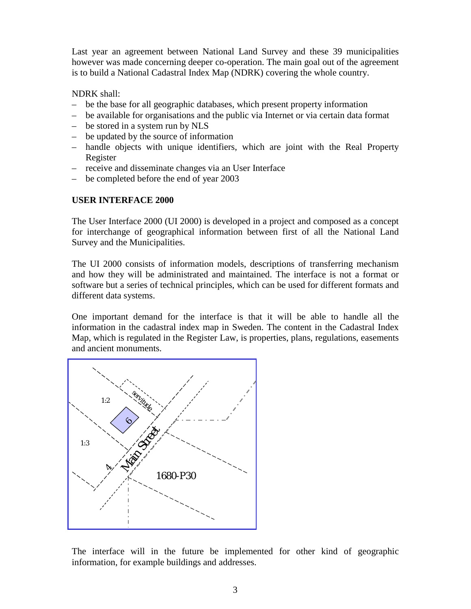Last year an agreement between National Land Survey and these 39 municipalities however was made concerning deeper co-operation. The main goal out of the agreement is to build a National Cadastral Index Map (NDRK) covering the whole country.

NDRK shall:

- be the base for all geographic databases, which present property information
- be available for organisations and the public via Internet or via certain data format
- be stored in a system run by NLS
- be updated by the source of information
- handle objects with unique identifiers, which are joint with the Real Property Register
- receive and disseminate changes via an User Interface
- be completed before the end of year 2003

## **USER INTERFACE 2000**

The User Interface 2000 (UI 2000) is developed in a project and composed as a concept for interchange of geographical information between first of all the National Land Survey and the Municipalities.

The UI 2000 consists of information models, descriptions of transferring mechanism and how they will be administrated and maintained. The interface is not a format or software but a series of technical principles, which can be used for different formats and different data systems.

One important demand for the interface is that it will be able to handle all the information in the cadastral index map in Sweden. The content in the Cadastral Index Map, which is regulated in the Register Law, is properties, plans, regulations, easements and ancient monuments.



The interface will in the future be implemented for other kind of geographic information, for example buildings and addresses.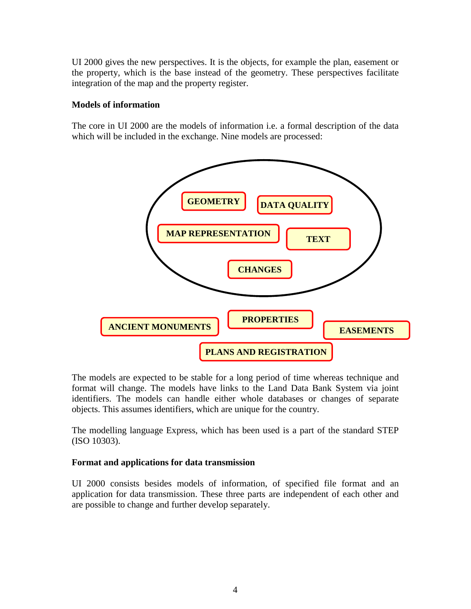UI 2000 gives the new perspectives. It is the objects, for example the plan, easement or the property, which is the base instead of the geometry. These perspectives facilitate integration of the map and the property register.

#### **Models of information**

The core in UI 2000 are the models of information i.e. a formal description of the data which will be included in the exchange. Nine models are processed:



The models are expected to be stable for a long period of time whereas technique and format will change. The models have links to the Land Data Bank System via joint identifiers. The models can handle either whole databases or changes of separate objects. This assumes identifiers, which are unique for the country.

The modelling language Express, which has been used is a part of the standard STEP (ISO 10303).

#### **Format and applications for data transmission**

UI 2000 consists besides models of information, of specified file format and an application for data transmission. These three parts are independent of each other and are possible to change and further develop separately.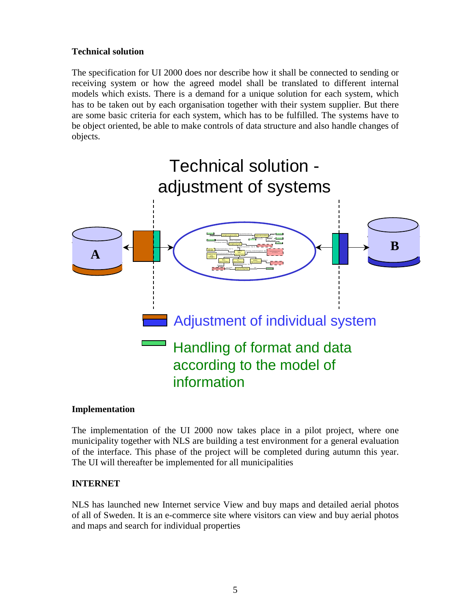## **Technical solution**

The specification for UI 2000 does nor describe how it shall be connected to sending or receiving system or how the agreed model shall be translated to different internal models which exists. There is a demand for a unique solution for each system, which has to be taken out by each organisation together with their system supplier. But there are some basic criteria for each system, which has to be fulfilled. The systems have to be object oriented, be able to make controls of data structure and also handle changes of objects.



#### **Implementation**

The implementation of the UI 2000 now takes place in a pilot project, where one municipality together with NLS are building a test environment for a general evaluation of the interface. This phase of the project will be completed during autumn this year. The UI will thereafter be implemented for all municipalities

## **INTERNET**

NLS has launched new Internet service View and buy maps and detailed aerial photos of all of Sweden. It is an e-commerce site where visitors can view and buy aerial photos and maps and search for individual properties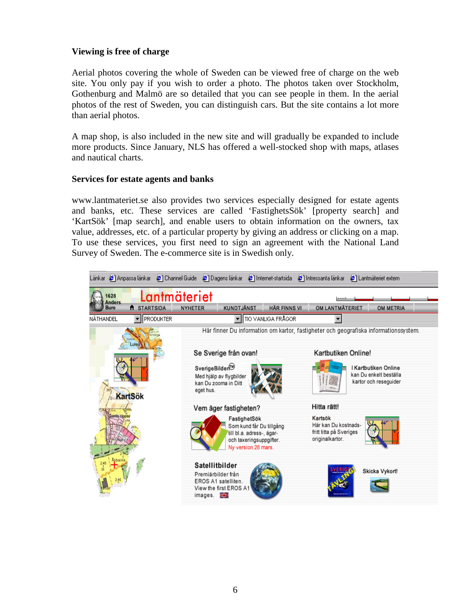## **Viewing is free of charge**

Aerial photos covering the whole of Sweden can be viewed free of charge on the web site. You only pay if you wish to order a photo. The photos taken over Stockholm, Gothenburg and Malmö are so detailed that you can see people in them. In the aerial photos of the rest of Sweden, you can distinguish cars. But the site contains a lot more than aerial photos.

A map shop, is also included in the new site and will gradually be expanded to include more products. Since January, NLS has offered a well-stocked shop with maps, atlases and nautical charts.

## **Services for estate agents and banks**

www.lantmateriet.se also provides two services especially designed for estate agents and banks, etc. These services are called 'FastighetsSök' [property search] and 'KartSök' [map search], and enable users to obtain information on the owners, tax value, addresses, etc. of a particular property by giving an address or clicking on a map. To use these services, you first need to sign an agreement with the National Land Survey of Sweden. The e-commerce site is in Swedish only.